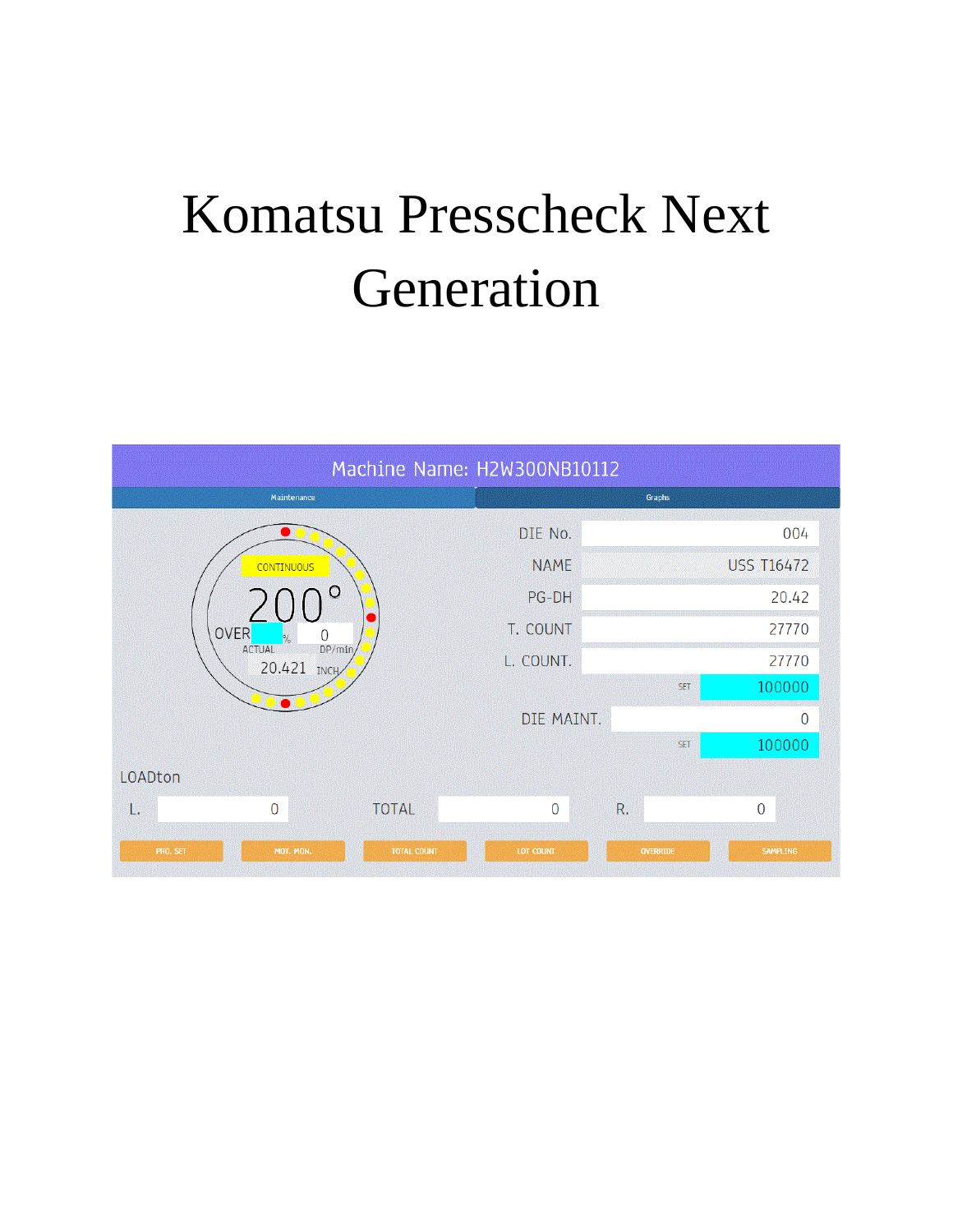## Komatsu Presscheck Next Generation

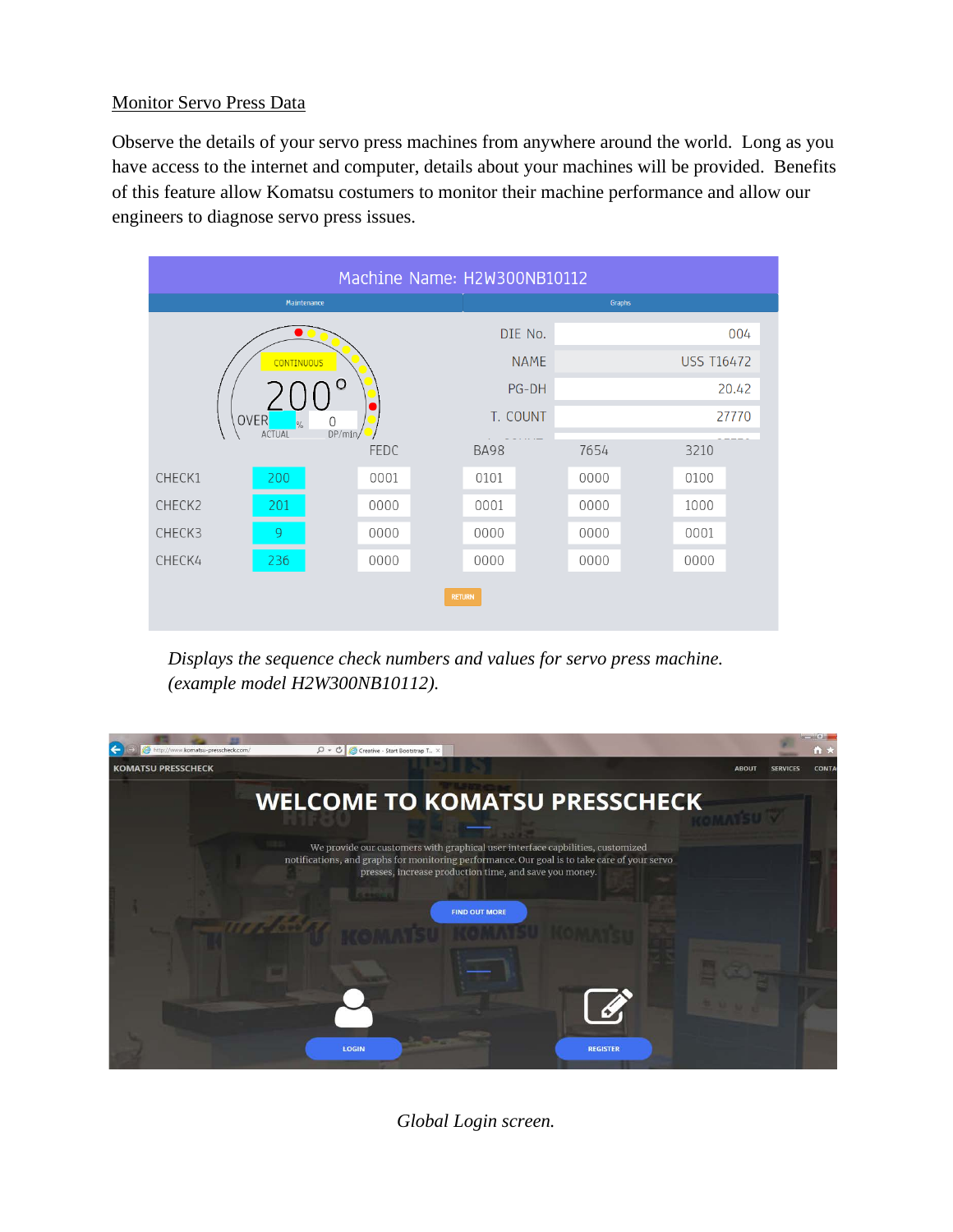## Monitor Servo Press Data

Observe the details of your servo press machines from anywhere around the world. Long as you have access to the internet and computer, details about your machines will be provided. Benefits of this feature allow Komatsu costumers to monitor their machine performance and allow our engineers to diagnose servo press issues.



*Displays the sequence check numbers and values for servo press machine. (example model H2W300NB10112).*



*Global Login screen.*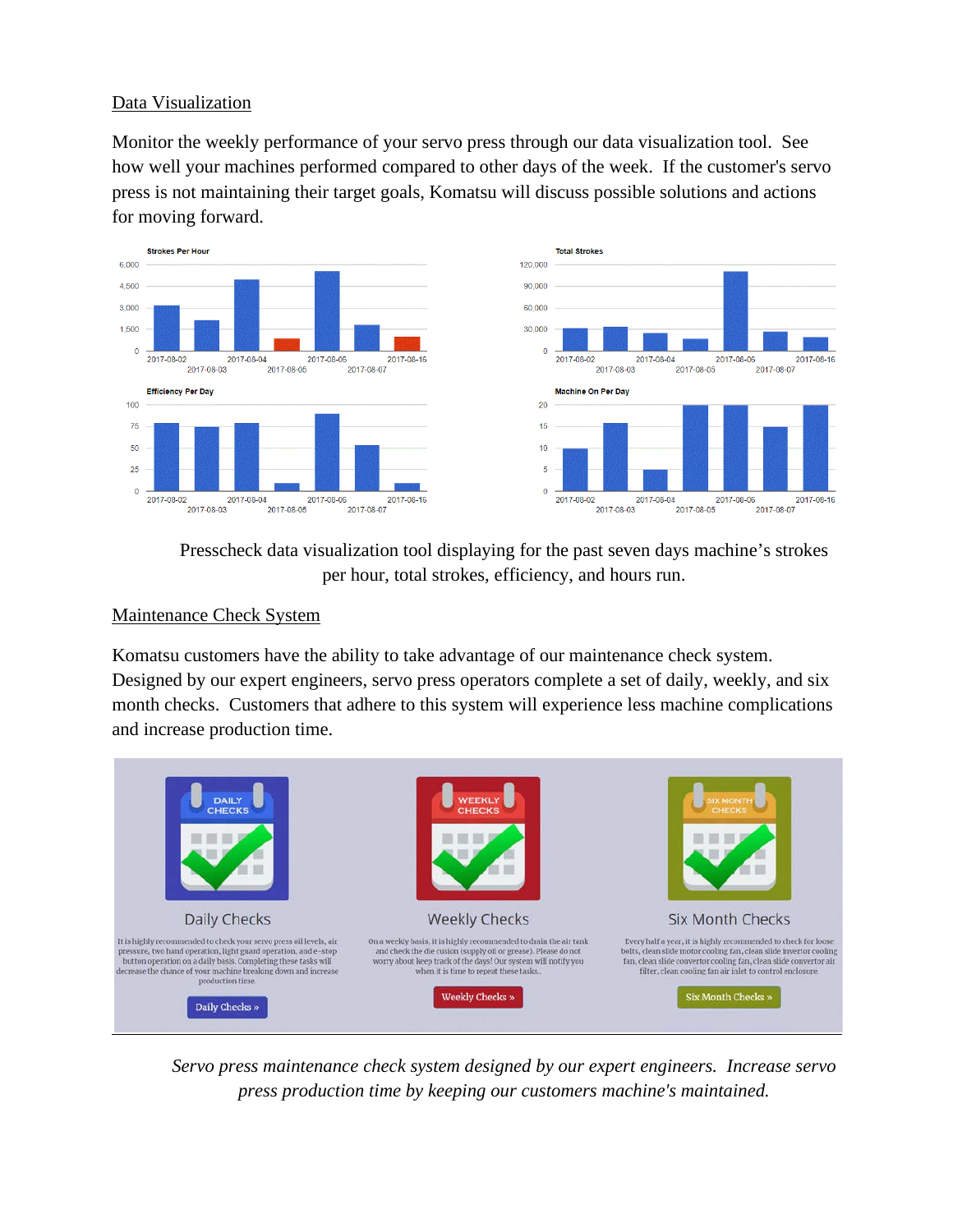## Data Visualization

Monitor the weekly performance of your servo press through our data visualization tool. See how well your machines performed compared to other days of the week. If the customer's servo press is not maintaining their target goals, Komatsu will discuss possible solutions and actions for moving forward.



Presscheck data visualization tool displaying for the past seven days machine's strokes per hour, total strokes, efficiency, and hours run.

## Maintenance Check System

Komatsu customers have the ability to take advantage of our maintenance check system. Designed by our expert engineers, servo press operators complete a set of daily, weekly, and six month checks. Customers that adhere to this system will experience less machine complications and increase production time.



*Servo press maintenance check system designed by our expert engineers. Increase servo press production time by keeping our customers machine's maintained.*